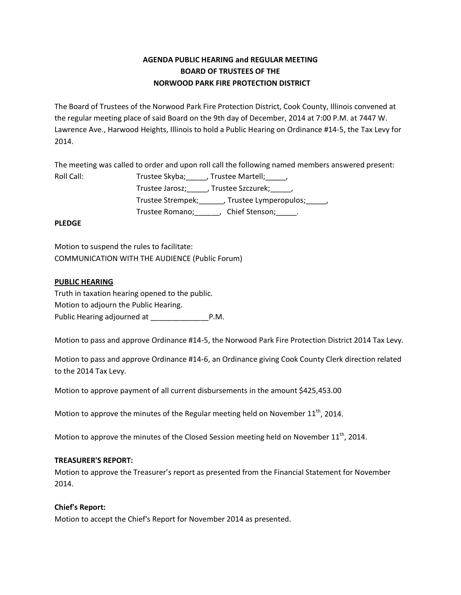# **AGENDA PUBLIC HEARING and REGULAR MEETING BOARD OF TRUSTEES OF THE NORWOOD PARK FIRE PROTECTION DISTRICT**

The Board of Trustees of the Norwood Park Fire Protection District, Cook County, Illinois convened at the regular meeting place of said Board on the 9th day of December, 2014 at 7:00 P.M. at 7447 W. Lawrence Ave., Harwood Heights, Illinois to hold a Public Hearing on Ordinance #14-5, the Tax Levy for 2014.

The meeting was called to order and upon roll call the following named members answered present:

| Roll Call: | Trustee Skyba; _____, Trustee Martell; _____,             |
|------------|-----------------------------------------------------------|
|            | Trustee Jarosz; ______, Trustee Szczurek; ______,         |
|            | Trustee Strempek; Trustee Lymperopulos; frustee Strempek; |
|            | Chief Stenson; .<br>Trustee Romano;                       |

## **PLEDGE**

Motion to suspend the rules to facilitate: COMMUNICATION WITH THE AUDIENCE (Public Forum)

## **PUBLIC HEARING**

Truth in taxation hearing opened to the public. Motion to adjourn the Public Hearing. Public Hearing adjourned at P.M.

Motion to pass and approve Ordinance #14-5, the Norwood Park Fire Protection District 2014 Tax Levy.

Motion to pass and approve Ordinance #14-6, an Ordinance giving Cook County Clerk direction related to the 2014 Tax Levy.

Motion to approve payment of all current disbursements in the amount \$425,453.00

Motion to approve the minutes of the Regular meeting held on November  $11^{th}$ , 2014.

Motion to approve the minutes of the Closed Session meeting held on November  $11<sup>th</sup>$ , 2014.

### **TREASURER'S REPORT:**

Motion to approve the Treasurer's report as presented from the Financial Statement for November 2014.

# **Chief's Report:**

Motion to accept the Chief's Report for November 2014 as presented.